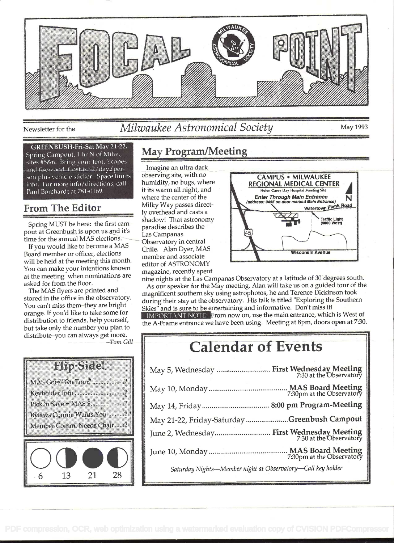

Newsletter for the Milwaukee Astronomical Society May 1993

#### **GREENBUSH-Fri-Sat May 21-22.**

Spring Campout, 1 hr N of Milw., sites #5&6. Bring your tent, 'scopes and firewood. Cost is \$2/day./person plus vehicle sticker. Space limits info. For more info/directions, call Paul Borchardt at 781-0169.

#### From The Editor

Spring MUST be here: the first campout at Greenbush is upon us and it's time for the annual MAS elections.

If you would like to become a MAS Board member or officer, elections will be held at the meeting this month. You can make your intentions known at the meeting when nominations are asked for from the floor.

The MAS flyers are printed and stored in the office in the observatory. You can't miss them-they are bright orange. If you'd like to take some for distribution to friends, help yourself, but take only the number you plan to distribute-you can always get more.  $-Tom$  Gill

## **NO.** MAS Goes "On Tour" ....................2 Keyholder Info.............................2



## May Program/Meeting

Imagine an ultra dark it its warm all night, and<br>where the center of the Milky Way passes directshadow! That astronomy Observatory in central paradise describes the Las Campanas member and associate editor of ASTRONOMY magazine, recently spent



nine nights at the Las Campanas Observatory at a latitude of 30 degrees south.

As our speaker for the May meeting, Alan will take us on a guided tour of the magnificent southern sky using astrophotos, he and Terence Dickinson took during their stay at the observatory. His talk is titled "Exploring the Southern Skies" and is sure to be entertaining and informative. Don't miss it! IMPORTANT NOTE: From now on, use the main entrance, which is West of the A-Frame entrance we have been using. Meeting at 8pm, doors open at 7:30.

# Calendar of Events

| <b>MAS Board Meeting</b><br>7:30pm at the Observatory<br>May 10, Monday |
|-------------------------------------------------------------------------|
| 8:00 pm Program-Meeting<br>May 14, Friday.                              |
| Greenbush Campout<br>May 21-22, Friday-Saturday                         |
| First Wednesday Meeting<br>7:30 at the Observatory<br>June 2, Wednesday |
| MAS Board Meeting<br>7:30pm at the Observatory<br>June 10, Monday.      |
| Saturday Nights-Member night at Observatory-Call key holder             |
|                                                                         |